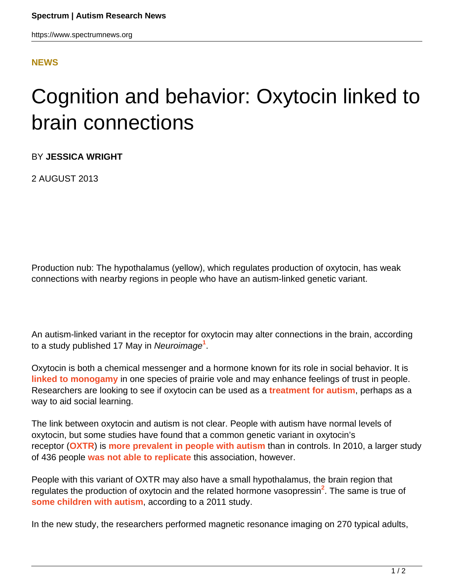https://www.spectrumnews.org

## **[NEWS](HTTPS://WWW.SPECTRUMNEWS.ORG/NEWS/)**

## Cognition and behavior: Oxytocin linked to brain connections

BY **JESSICA WRIGHT**

2 AUGUST 2013

Production nub: The hypothalamus (yellow), which regulates production of oxytocin, has weak connections with nearby regions in people who have an autism-linked genetic variant.

An autism-linked variant in the receptor for oxytocin may alter connections in the brain, according to a study published 17 May in Neuroimage**<sup>1</sup>** .

Oxytocin is both a chemical messenger and a hormone known for its role in social behavior. It is **[linked to monogamy](https://www.spectrumnews.org/conference-news/2010/society-for-neuroscience-2010/prairie-vole-study-finds-new-drug-that-boosts-oxytocin)** in one species of prairie vole and may enhance feelings of trust in people. Researchers are looking to see if oxytocin can be used as a **[treatment for autism](https://www.spectrumnews.org/news/2008/trust-hormone-shows-promise-as-treatment-for-autism)**, perhaps as a way to aid social learning.

The link between oxytocin and autism is not clear. People with autism have normal levels of oxytocin, but some studies have found that a common genetic variant in oxytocin's receptor (**[OXTR](https://gene.sfari.org/GeneDetail/OXTR#HG)**) is **[more prevalent in people with autism](https://www.spectrumnews.org/news/2010/variants-in-trust-hormone-receptor-up-the-risk-for-autism)** than in controls. In 2010, a larger study of 436 people **[was not able to replicate](https://www.spectrumnews.org/blog/2010/undressing-oxytocin)** this association, however.

People with this variant of OXTR may also have a small hypothalamus, the brain region that regulates the production of oxytocin and the related hormone vasopressin**<sup>2</sup>** . The same is true of **[some children with autism](https://www.spectrumnews.org/in-brief/2011/molecular-mechanisms-children-with-autism-have-small-hypothalamus)**, according to a 2011 study.

In the new study, the researchers performed magnetic resonance imaging on 270 typical adults,